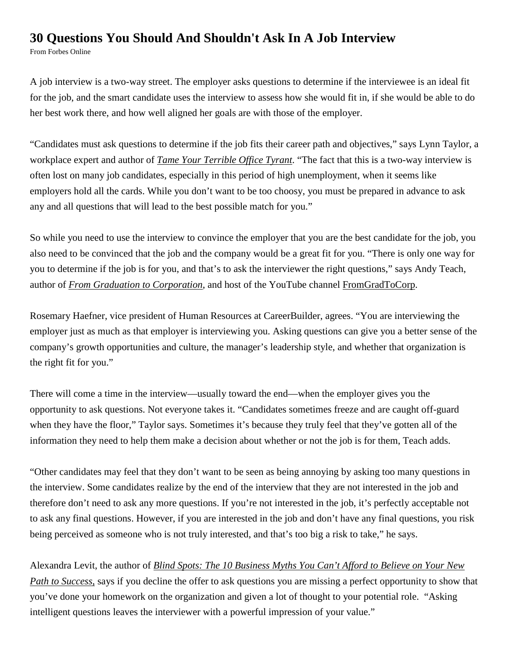## **30 Questions You Should And Shouldn't Ask In A Job Interview**

From Forbes Online

A job interview is a two-way street. The employer asks questions to determine if the interviewee is an ideal fit for the job, and the smart candidate uses the interview to assess how she would fit in, if she would be able to do her best work there, and how well aligned her goals are with those of the employer.

"Candidates must ask questions to determine if the job fits their career path and objectives," says Lynn Taylor, a workplace expert and author of *Tame Your Terrible Office Tyrant*. "The fact that this is a two-way interview is often lost on many job candidates, especially in this period of high unemployment, when it seems like employers hold all the cards. While you don't want to be too choosy, you must be prepared in advance to ask any and all questions that will lead to the best possible match for you."

So while you need to use the interview to convince the employer that you are the best candidate for the job, you also need to be convinced that the job and the company would be a great fit for you. "There is only one way for you to determine if the job is for you, and that's to ask the interviewer the right questions," says Andy Teach, author of *From Graduation to Corporation*, and host of the YouTube channel [FromGradToCorp.](http://www.youtube.com/user/FromGradToCorp?feature=watch)

Rosemary Haefner, vice president of Human Resources at CareerBuilder, agrees. "You are interviewing the employer just as much as that employer is interviewing you. Asking questions can give you a better sense of the company's growth opportunities and culture, the manager's leadership style, and whether that organization is the right fit for you."

There will come a time in the interview—usually toward the end—when the employer gives you the opportunity to ask questions. Not everyone takes it. "Candidates sometimes freeze and are caught off-guard when they have the floor," Taylor says. Sometimes it's because they truly feel that they've gotten all of the information they need to help them make a decision about whether or not the job is for them, Teach adds.

"Other candidates may feel that they don't want to be seen as being annoying by asking too many questions in the interview. Some candidates realize by the end of the interview that they are not interested in the job and therefore don't need to ask any more questions. If you're not interested in the job, it's perfectly acceptable not to ask any final questions. However, if you are interested in the job and don't have any final questions, you risk being perceived as someone who is not truly interested, and that's too big a risk to take," he says.

Alexandra Levit, the author of *Blind Spots: The 10 Business Myths You Can't Afford to Believe on Your New Path to Success*, says if you decline the offer to ask questions you are missing a perfect opportunity to show that you've done your homework on the organization and given a lot of thought to your potential role. "Asking intelligent questions leaves the interviewer with a powerful impression of your value."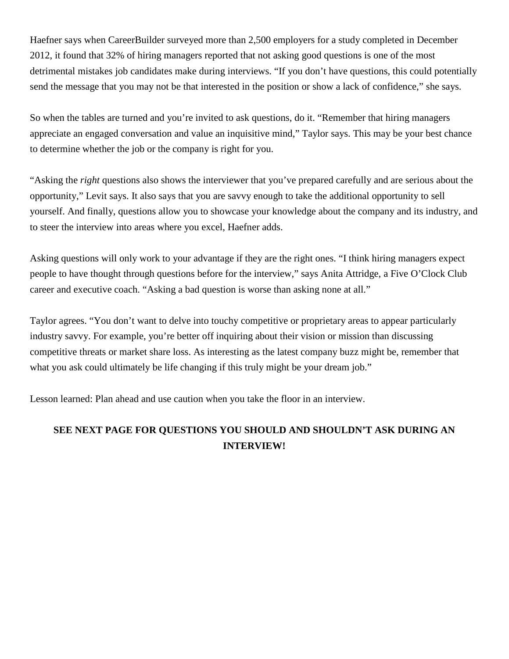Haefner says when CareerBuilder surveyed more than 2,500 employers for a study completed in December 2012, it found that 32% of hiring managers reported that not asking good questions is one of the most detrimental mistakes job candidates make during interviews. "If you don't have questions, this could potentially send the message that you may not be that interested in the position or show a lack of confidence," she says.

So when the tables are turned and you're invited to ask questions, do it. "Remember that hiring managers appreciate an engaged conversation and value an inquisitive mind," Taylor says. This may be your best chance to determine whether the job or the company is right for you.

"Asking the *right* questions also shows the interviewer that you've prepared carefully and are serious about the opportunity," Levit says. It also says that you are savvy enough to take the additional opportunity to sell yourself. And finally, questions allow you to showcase your knowledge about the company and its industry, and to steer the interview into areas where you excel, Haefner adds.

Asking questions will only work to your advantage if they are the right ones. "I think hiring managers expect people to have thought through questions before for the interview," says Anita Attridge, a Five O'Clock Club career and executive coach. "Asking a bad question is worse than asking none at all."

Taylor agrees. "You don't want to delve into touchy competitive or proprietary areas to appear particularly industry savvy. For example, you're better off inquiring about their vision or mission than discussing competitive threats or market share loss. As interesting as the latest company buzz might be, remember that what you ask could ultimately be life changing if this truly might be your dream job."

Lesson learned: Plan ahead and use caution when you take the floor in an interview.

## **SEE NEXT PAGE FOR QUESTIONS YOU SHOULD AND SHOULDN'T ASK DURING AN INTERVIEW!**